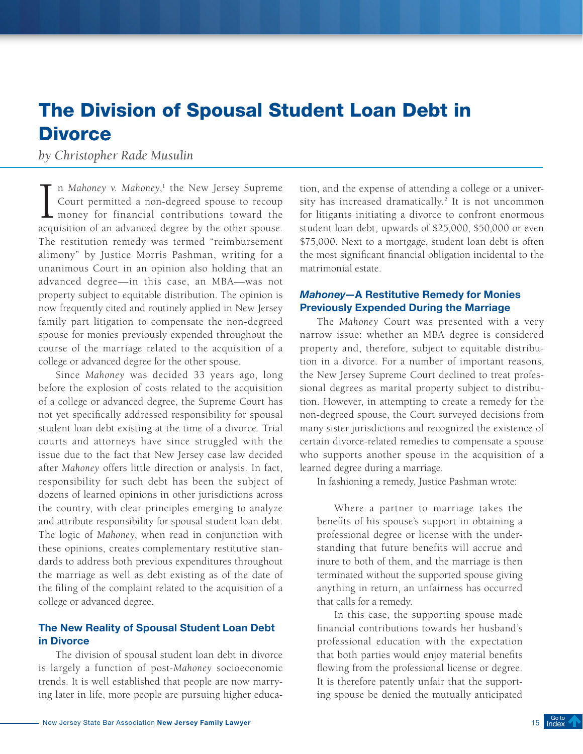# The Division of Spousal Student Loan Debt in **Divorce**

# *by Christopher Rade Musulin*

In Mahoney v. Mahoney,<sup>1</sup> the New Jersey Supreme<br>Court permitted a non-degreed spouse to recoup<br>money for financial contributions toward the<br>acquisition of an advanced degree by the other spouse. n *Mahoney v. Mahoney*, 1 the New Jersey Supreme Court permitted a non-degreed spouse to recoup money for financial contributions toward the The restitution remedy was termed "reimbursement alimony" by Justice Morris Pashman, writing for a unanimous Court in an opinion also holding that an advanced degree—in this case, an MBA—was not property subject to equitable distribution. The opinion is now frequently cited and routinely applied in New Jersey family part litigation to compensate the non-degreed spouse for monies previously expended throughout the course of the marriage related to the acquisition of a college or advanced degree for the other spouse.

Since *Mahoney* was decided 33 years ago, long before the explosion of costs related to the acquisition of a college or advanced degree, the Supreme Court has not yet specifically addressed responsibility for spousal student loan debt existing at the time of a divorce. Trial courts and attorneys have since struggled with the issue due to the fact that New Jersey case law decided after *Mahoney* offers little direction or analysis. In fact, responsibility for such debt has been the subject of dozens of learned opinions in other jurisdictions across the country, with clear principles emerging to analyze and attribute responsibility for spousal student loan debt. The logic of *Mahoney*, when read in conjunction with these opinions, creates complementary restitutive standards to address both previous expenditures throughout the marriage as well as debt existing as of the date of the filing of the complaint related to the acquisition of a college or advanced degree.

## The New Reality of Spousal Student Loan Debt in Divorce

The division of spousal student loan debt in divorce is largely a function of post-*Mahoney* socioeconomic trends. It is well established that people are now marrying later in life, more people are pursuing higher education, and the expense of attending a college or a university has increased dramatically.<sup>2</sup> It is not uncommon for litigants initiating a divorce to confront enormous student loan debt, upwards of \$25,000, \$50,000 or even \$75,000. Next to a mortgage, student loan debt is often the most significant financial obligation incidental to the matrimonial estate.

## *Mahoney*—A Restitutive Remedy for Monies Previously Expended During the Marriage

The *Mahoney* Court was presented with a very narrow issue: whether an MBA degree is considered property and, therefore, subject to equitable distribution in a divorce. For a number of important reasons, the New Jersey Supreme Court declined to treat professional degrees as marital property subject to distribution. However, in attempting to create a remedy for the non-degreed spouse, the Court surveyed decisions from many sister jurisdictions and recognized the existence of certain divorce-related remedies to compensate a spouse who supports another spouse in the acquisition of a learned degree during a marriage.

In fashioning a remedy, Justice Pashman wrote:

Where a partner to marriage takes the benefits of his spouse's support in obtaining a professional degree or license with the understanding that future benefits will accrue and inure to both of them, and the marriage is then terminated without the supported spouse giving anything in return, an unfairness has occurred that calls for a remedy.

In this case, the supporting spouse made financial contributions towards her husband's professional education with the expectation that both parties would enjoy material benefits flowing from the professional license or degree. It is therefore patently unfair that the supporting spouse be denied the mutually anticipated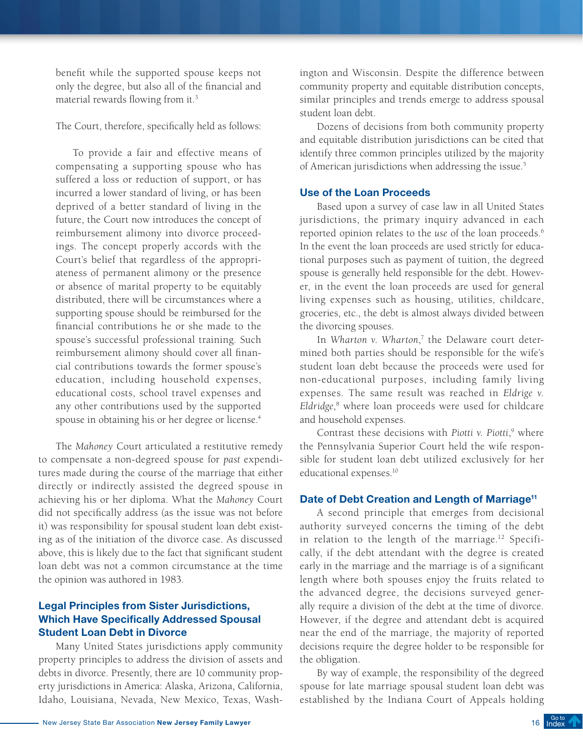benefit while the supported spouse keeps not only the degree, but also all of the financial and material rewards flowing from it.3

The Court, therefore, specifically held as follows:

To provide a fair and effective means of compensating a supporting spouse who has suffered a loss or reduction of support, or has incurred a lower standard of living, or has been deprived of a better standard of living in the future, the Court now introduces the concept of reimbursement alimony into divorce proceedings. The concept properly accords with the Court's belief that regardless of the appropriateness of permanent alimony or the presence or absence of marital property to be equitably distributed, there will be circumstances where a supporting spouse should be reimbursed for the financial contributions he or she made to the spouse's successful professional training. Such reimbursement alimony should cover all financial contributions towards the former spouse's education, including household expenses, educational costs, school travel expenses and any other contributions used by the supported spouse in obtaining his or her degree or license.<sup>4</sup>

The *Mahoney* Court articulated a restitutive remedy to compensate a non-degreed spouse for *past* expenditures made during the course of the marriage that either directly or indirectly assisted the degreed spouse in achieving his or her diploma. What the *Mahoney* Court did not specifically address (as the issue was not before it) was responsibility for spousal student loan debt existing as of the initiation of the divorce case. As discussed above, this is likely due to the fact that significant student loan debt was not a common circumstance at the time the opinion was authored in 1983.

## Legal Principles from Sister Jurisdictions, Which Have Specifically Addressed Spousal Student Loan Debt in Divorce

Many United States jurisdictions apply community property principles to address the division of assets and debts in divorce. Presently, there are 10 community property jurisdictions in America: Alaska, Arizona, California, Idaho, Louisiana, Nevada, New Mexico, Texas, Washington and Wisconsin. Despite the difference between community property and equitable distribution concepts, similar principles and trends emerge to address spousal student loan debt.

Dozens of decisions from both community property and equitable distribution jurisdictions can be cited that identify three common principles utilized by the majority of American jurisdictions when addressing the issue.<sup>5</sup>

#### Use of the Loan Proceeds

Based upon a survey of case law in all United States jurisdictions, the primary inquiry advanced in each reported opinion relates to the *use* of the loan proceeds.6 In the event the loan proceeds are used strictly for educational purposes such as payment of tuition, the degreed spouse is generally held responsible for the debt. However, in the event the loan proceeds are used for general living expenses such as housing, utilities, childcare, groceries, etc., the debt is almost always divided between the divorcing spouses.

In *Wharton v. Wharton*, 7 the Delaware court determined both parties should be responsible for the wife's student loan debt because the proceeds were used for non-educational purposes, including family living expenses. The same result was reached in *Eldrige v. Eldridge*, 8 where loan proceeds were used for childcare and household expenses.

Contrast these decisions with *Piotti* v. Piotti,<sup>9</sup> where the Pennsylvania Superior Court held the wife responsible for student loan debt utilized exclusively for her educational expenses.10

#### Date of Debt Creation and Length of Marriage<sup>11</sup>

A second principle that emerges from decisional authority surveyed concerns the timing of the debt in relation to the length of the marriage.<sup>12</sup> Specifically, if the debt attendant with the degree is created early in the marriage and the marriage is of a significant length where both spouses enjoy the fruits related to the advanced degree, the decisions surveyed generally require a division of the debt at the time of divorce. However, if the degree and attendant debt is acquired near the end of the marriage, the majority of reported decisions require the degree holder to be responsible for the obligation.

By way of example, the responsibility of the degreed spouse for late marriage spousal student loan debt was established by the Indiana Court of Appeals holding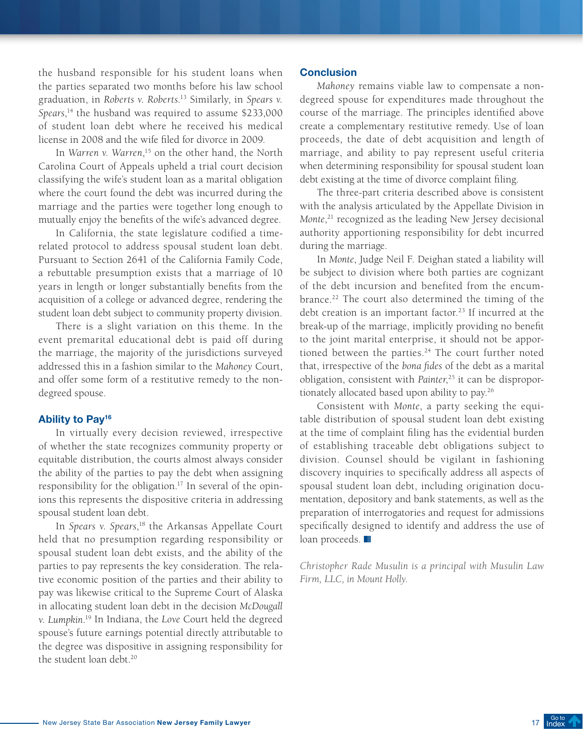the husband responsible for his student loans when the parties separated two months before his law school graduation, in *Roberts v. Roberts*. 13 Similarly, in *Spears v. Spears*, 14 the husband was required to assume \$233,000 of student loan debt where he received his medical license in 2008 and the wife filed for divorce in 2009.

In *Warren v. Warren*, 15 on the other hand, the North Carolina Court of Appeals upheld a trial court decision classifying the wife's student loan as a marital obligation where the court found the debt was incurred during the marriage and the parties were together long enough to mutually enjoy the benefits of the wife's advanced degree.

In California, the state legislature codified a timerelated protocol to address spousal student loan debt. Pursuant to Section 2641 of the California Family Code, a rebuttable presumption exists that a marriage of 10 years in length or longer substantially benefits from the acquisition of a college or advanced degree, rendering the student loan debt subject to community property division.

There is a slight variation on this theme. In the event premarital educational debt is paid off during the marriage, the majority of the jurisdictions surveyed addressed this in a fashion similar to the *Mahoney* Court, and offer some form of a restitutive remedy to the nondegreed spouse.

## Ability to Pay<sup>16</sup>

In virtually every decision reviewed, irrespective of whether the state recognizes community property or equitable distribution, the courts almost always consider the ability of the parties to pay the debt when assigning responsibility for the obligation.<sup>17</sup> In several of the opinions this represents the dispositive criteria in addressing spousal student loan debt.

In *Spears v. Spears*,<sup>18</sup> the Arkansas Appellate Court held that no presumption regarding responsibility or spousal student loan debt exists, and the ability of the parties to pay represents the key consideration. The relative economic position of the parties and their ability to pay was likewise critical to the Supreme Court of Alaska in allocating student loan debt in the decision *McDougall v. Lumpkin*. 19 In Indiana, the *Love* Court held the degreed spouse's future earnings potential directly attributable to the degree was dispositive in assigning responsibility for the student loan debt.<sup>20</sup>

#### **Conclusion**

*Mahoney* remains viable law to compensate a nondegreed spouse for expenditures made throughout the course of the marriage. The principles identified above create a complementary restitutive remedy. Use of loan proceeds, the date of debt acquisition and length of marriage, and ability to pay represent useful criteria when determining responsibility for spousal student loan debt existing at the time of divorce complaint filing.

The three-part criteria described above is consistent with the analysis articulated by the Appellate Division in *Monte*, 21 recognized as the leading New Jersey decisional authority apportioning responsibility for debt incurred during the marriage.

In *Monte*, Judge Neil F. Deighan stated a liability will be subject to division where both parties are cognizant of the debt incursion and benefited from the encumbrance.22 The court also determined the timing of the debt creation is an important factor.<sup>23</sup> If incurred at the break-up of the marriage, implicitly providing no benefit to the joint marital enterprise, it should not be apportioned between the parties.<sup>24</sup> The court further noted that, irrespective of the *bona fides* of the debt as a marital obligation, consistent with *Painter*, 25 it can be disproportionately allocated based upon ability to pay.26

Consistent with *Monte*, a party seeking the equitable distribution of spousal student loan debt existing at the time of complaint filing has the evidential burden of establishing traceable debt obligations subject to division. Counsel should be vigilant in fashioning discovery inquiries to specifically address all aspects of spousal student loan debt, including origination documentation, depository and bank statements, as well as the preparation of interrogatories and request for admissions specifically designed to identify and address the use of loan proceeds.

*Christopher Rade Musulin is a principal with Musulin Law Firm, LLC, in Mount Holly.*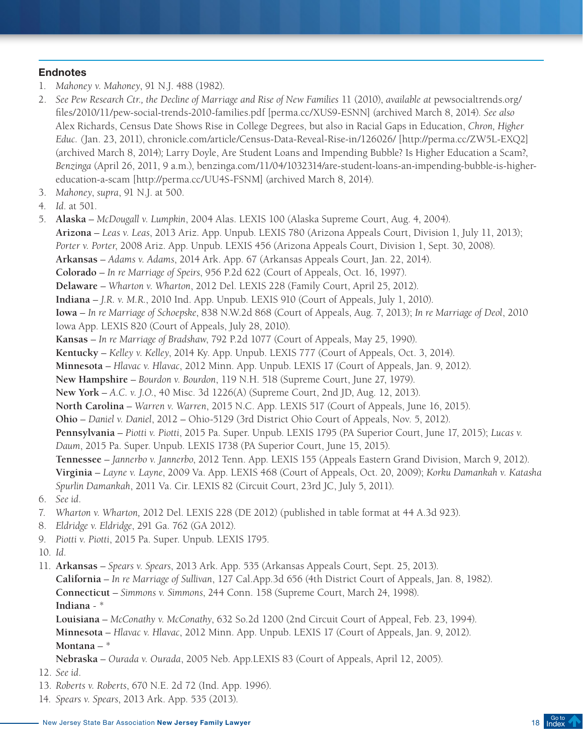## **Endnotes**

- 1. *Mahoney v. Mahoney*, 91 N.J. 488 (1982).
- 2. *See Pew Research Ctr., the Decline of Marriage and Rise of New Families* 11 (2010), *available at* pewsocialtrends.org/ files/2010/11/pew-social-trends-2010-families.pdf [perma.cc/XUS9-ESNN] (archived March 8, 2014). *See also*  Alex Richards, Census Date Shows Rise in College Degrees, but also in Racial Gaps in Education, *Chron, Higher Educ. (*Jan. 23, 2011), chronicle.com/article/Census-Data-Reveal-Rise-in/126026/ [http://perma.cc/ZW5L-EXQ2] (archived March 8, 2014)*;* Larry Doyle, Are Student Loans and Impending Bubble? Is Higher Education a Scam?, *Benzinga* (April 26, 2011, 9 a.m.), benzinga.com/11/04/1032314/are-student-loans-an-impending-bubble-is-highereducation-a-scam [http://perma.cc/UU4S-FSNM] (archived March 8, 2014).
- 3. *Mahoney*, *supra*, 91 N.J. at 500.
- 4. *Id*. at 501.
- 5. **Alaska** *McDougall v. Lumpkin*, 2004 Alas. LEXIS 100 (Alaska Supreme Court, Aug. 4, 2004). **Arizona** – *Leas v. Leas*, 2013 Ariz. App. Unpub. LEXIS 780 (Arizona Appeals Court, Division 1, July 11, 2013); *Porter v. Porter*, 2008 Ariz. App. Unpub. LEXIS 456 (Arizona Appeals Court, Division 1, Sept. 30, 2008). **Arkansas** – *Adams v. Adams*, 2014 Ark. App. 67 (Arkansas Appeals Court, Jan. 22, 2014). **Colorado** – *In re Marriage of Speirs*, 956 P.2d 622 (Court of Appeals, Oct. 16, 1997). **Delaware** – *Wharton v. Wharton*, 2012 Del. LEXIS 228 (Family Court, April 25, 2012). **Indiana** – *J.R. v. M.R.*, 2010 Ind. App. Unpub. LEXIS 910 (Court of Appeals, July 1, 2010). **Iowa** – *In re Marriage of Schoepske*, 838 N.W.2d 868 (Court of Appeals, Aug. 7, 2013); *In re Marriage of Deol*, 2010 Iowa App. LEXIS 820 (Court of Appeals, July 28, 2010). **Kansas** – *In re Marriage of Bradshaw*, 792 P.2d 1077 (Court of Appeals, May 25, 1990). **Kentucky** – *Kelley v. Kelley*, 2014 Ky. App. Unpub. LEXIS 777 (Court of Appeals, Oct. 3, 2014). **Minnesota** – *Hlavac v. Hlavac*, 2012 Minn. App. Unpub. LEXIS 17 (Court of Appeals, Jan. 9, 2012). **New Hampshire** – *Bourdon v. Bourdon*, 119 N.H. 518 (Supreme Court, June 27, 1979). **New York** – *A.C. v. J.O.*, 40 Misc. 3d 1226(A) (Supreme Court, 2nd JD, Aug. 12, 2013). **North Carolina** – *Warren v. Warren*, 2015 N.C. App. LEXIS 517 (Court of Appeals, June 16, 2015). **Ohio** – *Daniel v. Daniel*, 2012 – Ohio-5129 (3rd District Ohio Court of Appeals, Nov. 5, 2012). **Pennsylvania** – *Piotti v. Piotti*, 2015 Pa. Super. Unpub. LEXIS 1795 (PA Superior Court, June 17, 2015); *Lucas v. Daum*, 2015 Pa. Super. Unpub. LEXIS 1738 (PA Superior Court, June 15, 2015). **Tennessee** – *Jannerbo v. Jannerbo*, 2012 Tenn. App. LEXIS 155 (Appeals Eastern Grand Division, March 9, 2012). **Virginia** – *Layne v. Layne*, 2009 Va. App. LEXIS 468 (Court of Appeals, Oct. 20, 2009); *Korku Damankah v. Katasha Spurlin Damankah*, 2011 Va. Cir. LEXIS 82 (Circuit Court, 23rd JC, July 5, 2011).
- 6. *See id*.
- 7. *Wharton v. Wharton,* 2012 Del. LEXIS 228 (DE 2012) (published in table format at 44 A.3d 923).
- 8. *Eldridge v. Eldridge*, 291 Ga. 762 (GA 2012).
- 9. *Piotti v. Piotti*, 2015 Pa. Super. Unpub. LEXIS 1795.
- 10. *Id*.

11. **Arkansas** – *Spears v. Spears*, 2013 Ark. App. 535 (Arkansas Appeals Court, Sept. 25, 2013). **California** – *In re Marriage of Sullivan*, 127 Cal.App.3d 656 (4th District Court of Appeals, Jan. 8, 1982). **Connecticut** – *Simmons v. Simmons*, 244 Conn. 158 (Supreme Court, March 24, 1998). **Indiana** - \*

**Louisiana** – *McConathy v. McConathy*, 632 So.2d 1200 (2nd Circuit Court of Appeal, Feb. 23, 1994). **Minnesota** – *Hlavac v. Hlavac*, 2012 Minn. App. Unpub. LEXIS 17 (Court of Appeals, Jan. 9, 2012). **Montana** – \*

**Nebraska** – *Ourada v. Ourada*, 2005 Neb. App.LEXIS 83 (Court of Appeals, April 12, 2005).

12. *See id*.

- 13. *Roberts v. Roberts*, 670 N.E. 2d 72 (Ind. App. 1996).
- 14. *Spears v. Spears*, 2013 Ark. App. 535 (2013).